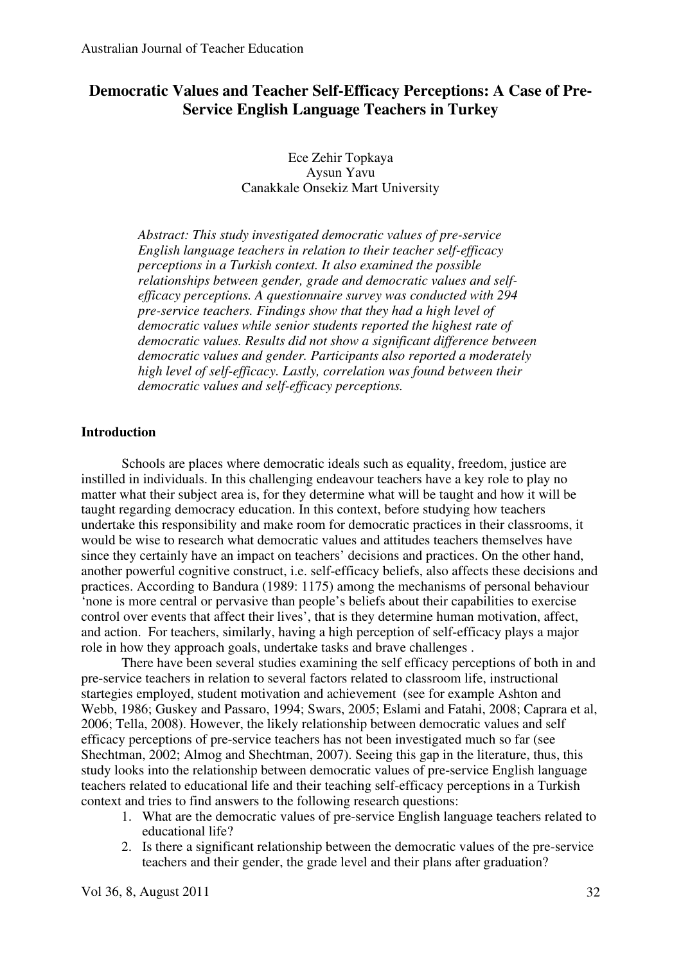# **Democratic Values and Teacher Self-Efficacy Perceptions: A Case of Pre-Service English Language Teachers in Turkey**

Ece Zehir Topkaya Aysun Yavu Canakkale Onsekiz Mart University

*Abstract: This study investigated democratic values of pre-service English language teachers in relation to their teacher self-efficacy perceptions in a Turkish context. It also examined the possible relationships between gender, grade and democratic values and selfefficacy perceptions. A questionnaire survey was conducted with 294 pre-service teachers. Findings show that they had a high level of democratic values while senior students reported the highest rate of democratic values. Results did not show a significant difference between democratic values and gender. Participants also reported a moderately high level of self-efficacy. Lastly, correlation was found between their democratic values and self-efficacy perceptions.* 

# **Introduction**

Schools are places where democratic ideals such as equality, freedom, justice are instilled in individuals. In this challenging endeavour teachers have a key role to play no matter what their subject area is, for they determine what will be taught and how it will be taught regarding democracy education. In this context, before studying how teachers undertake this responsibility and make room for democratic practices in their classrooms, it would be wise to research what democratic values and attitudes teachers themselves have since they certainly have an impact on teachers' decisions and practices. On the other hand, another powerful cognitive construct, i.e. self-efficacy beliefs, also affects these decisions and practices. According to Bandura (1989: 1175) among the mechanisms of personal behaviour 'none is more central or pervasive than people's beliefs about their capabilities to exercise control over events that affect their lives', that is they determine human motivation, affect, and action. For teachers, similarly, having a high perception of self-efficacy plays a major role in how they approach goals, undertake tasks and brave challenges .

There have been several studies examining the self efficacy perceptions of both in and pre-service teachers in relation to several factors related to classroom life, instructional startegies employed, student motivation and achievement (see for example Ashton and Webb, 1986; Guskey and Passaro, 1994; Swars, 2005; Eslami and Fatahi, 2008; Caprara et al, 2006; Tella, 2008). However, the likely relationship between democratic values and self efficacy perceptions of pre-service teachers has not been investigated much so far (see Shechtman, 2002; Almog and Shechtman, 2007). Seeing this gap in the literature, thus, this study looks into the relationship between democratic values of pre-service English language teachers related to educational life and their teaching self-efficacy perceptions in a Turkish context and tries to find answers to the following research questions:

- 1. What are the democratic values of pre-service English language teachers related to educational life?
- 2. Is there a significant relationship between the democratic values of the pre-service teachers and their gender, the grade level and their plans after graduation?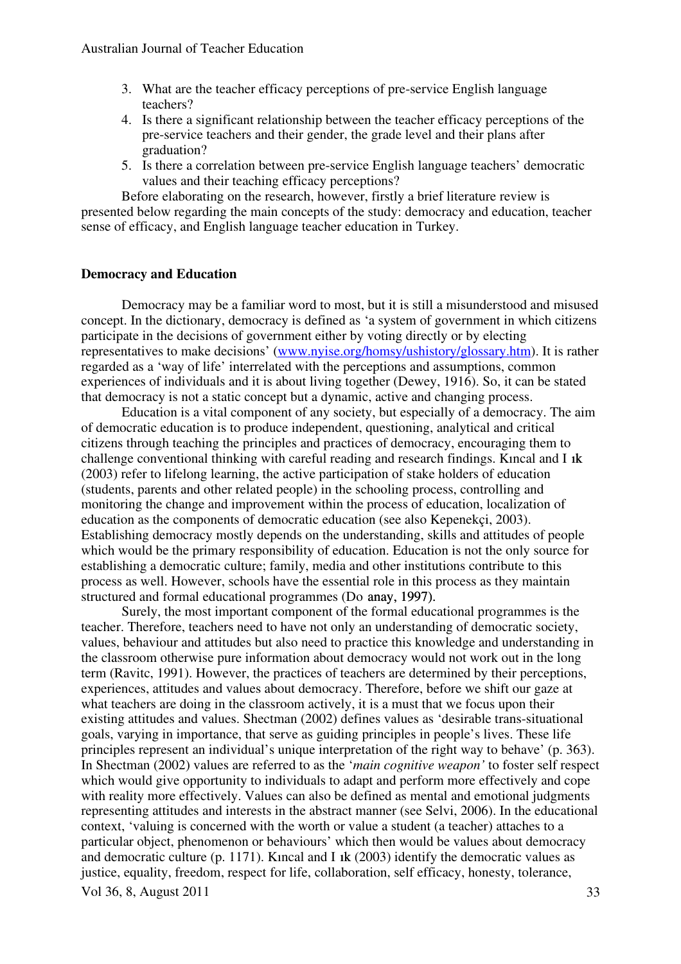- 3. What are the teacher efficacy perceptions of pre-service English language teachers?
- 4. Is there a significant relationship between the teacher efficacy perceptions of the pre-service teachers and their gender, the grade level and their plans after graduation?
- 5. Is there a correlation between pre-service English language teachers' democratic values and their teaching efficacy perceptions?

Before elaborating on the research, however, firstly a brief literature review is presented below regarding the main concepts of the study: democracy and education, teacher sense of efficacy, and English language teacher education in Turkey.

# **Democracy and Education**

Democracy may be a familiar word to most, but it is still a misunderstood and misused concept. In the dictionary, democracy is defined as 'a system of government in which citizens participate in the decisions of government either by voting directly or by electing representatives to make decisions' (www.nyise.org/homsy/ushistory/glossary.htm). It is rather regarded as a 'way of life' interrelated with the perceptions and assumptions, common experiences of individuals and it is about living together (Dewey, 1916). So, it can be stated that democracy is not a static concept but a dynamic, active and changing process.

Education is a vital component of any society, but especially of a democracy. The aim of democratic education is to produce independent, questioning, analytical and critical citizens through teaching the principles and practices of democracy, encouraging them to challenge conventional thinking with careful reading and research findings. Kincal and I ik (2003) refer to lifelong learning, the active participation of stake holders of education (students, parents and other related people) in the schooling process, controlling and monitoring the change and improvement within the process of education, localization of education as the components of democratic education (see also Kepenekçi, 2003). Establishing democracy mostly depends on the understanding, skills and attitudes of people which would be the primary responsibility of education. Education is not the only source for establishing a democratic culture; family, media and other institutions contribute to this process as well. However, schools have the essential role in this process as they maintain structured and formal educational programmes (Do anay, 1997).

Surely, the most important component of the formal educational programmes is the teacher. Therefore, teachers need to have not only an understanding of democratic society, values, behaviour and attitudes but also need to practice this knowledge and understanding in the classroom otherwise pure information about democracy would not work out in the long term (Ravitc, 1991). However, the practices of teachers are determined by their perceptions, experiences, attitudes and values about democracy. Therefore, before we shift our gaze at what teachers are doing in the classroom actively, it is a must that we focus upon their existing attitudes and values. Shectman (2002) defines values as 'desirable trans-situational goals, varying in importance, that serve as guiding principles in people's lives. These life principles represent an individual's unique interpretation of the right way to behave' (p. 363). In Shectman (2002) values are referred to as the '*main cognitive weapon'* to foster self respect which would give opportunity to individuals to adapt and perform more effectively and cope with reality more effectively. Values can also be defined as mental and emotional judgments representing attitudes and interests in the abstract manner (see Selvi, 2006). In the educational context, 'valuing is concerned with the worth or value a student (a teacher) attaches to a particular object, phenomenon or behaviours' which then would be values about democracy and democratic culture (p. 1171). Kincal and I ik  $(2003)$  identify the democratic values as justice, equality, freedom, respect for life, collaboration, self efficacy, honesty, tolerance,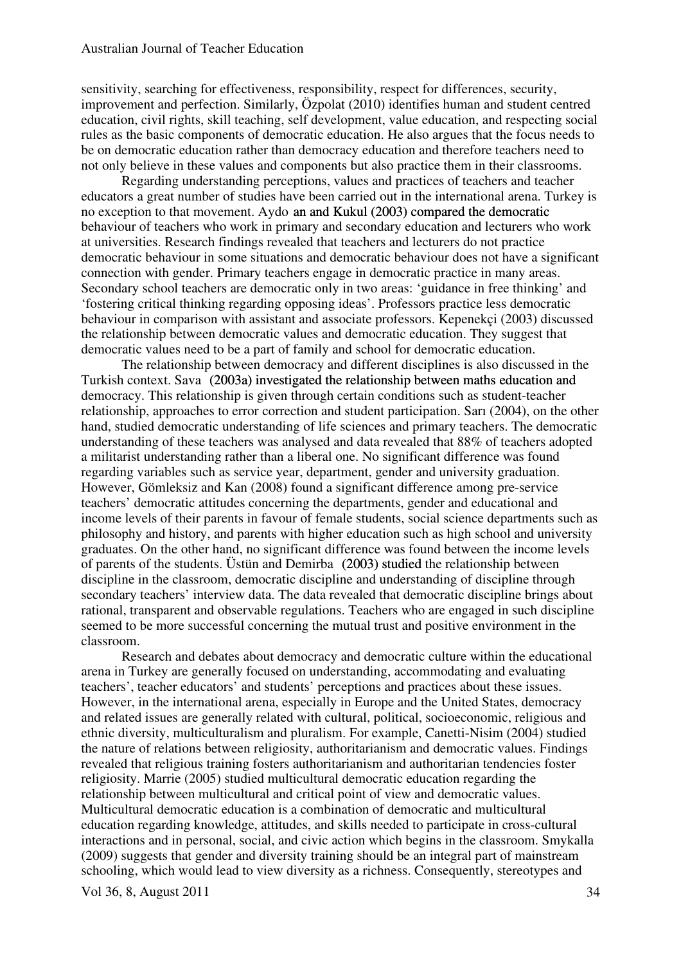sensitivity, searching for effectiveness, responsibility, respect for differences, security, improvement and perfection. Similarly, Özpolat (2010) identifies human and student centred education, civil rights, skill teaching, self development, value education, and respecting social rules as the basic components of democratic education. He also argues that the focus needs to be on democratic education rather than democracy education and therefore teachers need to not only believe in these values and components but also practice them in their classrooms.

Regarding understanding perceptions, values and practices of teachers and teacher educators a great number of studies have been carried out in the international arena. Turkey is no exception to that movement. Aydo an and Kukul (2003) compared the democratic behaviour of teachers who work in primary and secondary education and lecturers who work at universities. Research findings revealed that teachers and lecturers do not practice democratic behaviour in some situations and democratic behaviour does not have a significant connection with gender. Primary teachers engage in democratic practice in many areas. Secondary school teachers are democratic only in two areas: 'guidance in free thinking' and 'fostering critical thinking regarding opposing ideas'. Professors practice less democratic behaviour in comparison with assistant and associate professors. Kepenekçi (2003) discussed the relationship between democratic values and democratic education. They suggest that democratic values need to be a part of family and school for democratic education.

The relationship between democracy and different disciplines is also discussed in the Turkish context. Savaș (2003a) investigated the relationship between maths education and (2003a) investigated the relationship between maths education and democracy. This relationship is given through certain conditions such as student-teacher relationship, approaches to error correction and student participation. Sarı (2004), on the other hand, studied democratic understanding of life sciences and primary teachers. The democratic understanding of these teachers was analysed and data revealed that 88% of teachers adopted a militarist understanding rather than a liberal one. No significant difference was found regarding variables such as service year, department, gender and university graduation. However, Gömleksiz and Kan (2008) found a significant difference among pre-service teachers' democratic attitudes concerning the departments, gender and educational and income levels of their parents in favour of female students, social science departments such as philosophy and history, and parents with higher education such as high school and university graduates. On the other hand, no significant difference was found between the income levels of parents of the students. Üstün and Demirbağ (2003) studied (2003) studied the relationship between discipline in the classroom, democratic discipline and understanding of discipline through secondary teachers' interview data. The data revealed that democratic discipline brings about rational, transparent and observable regulations. Teachers who are engaged in such discipline seemed to be more successful concerning the mutual trust and positive environment in the classroom.

Research and debates about democracy and democratic culture within the educational arena in Turkey are generally focused on understanding, accommodating and evaluating teachers', teacher educators' and students' perceptions and practices about these issues. However, in the international arena, especially in Europe and the United States, democracy and related issues are generally related with cultural, political, socioeconomic, religious and ethnic diversity, multiculturalism and pluralism. For example, Canetti-Nisim (2004) studied the nature of relations between religiosity, authoritarianism and democratic values. Findings revealed that religious training fosters authoritarianism and authoritarian tendencies foster religiosity. Marrie (2005) studied multicultural democratic education regarding the relationship between multicultural and critical point of view and democratic values. Multicultural democratic education is a combination of democratic and multicultural education regarding knowledge, attitudes, and skills needed to participate in cross-cultural interactions and in personal, social, and civic action which begins in the classroom. Smykalla (2009) suggests that gender and diversity training should be an integral part of mainstream schooling, which would lead to view diversity as a richness. Consequently, stereotypes and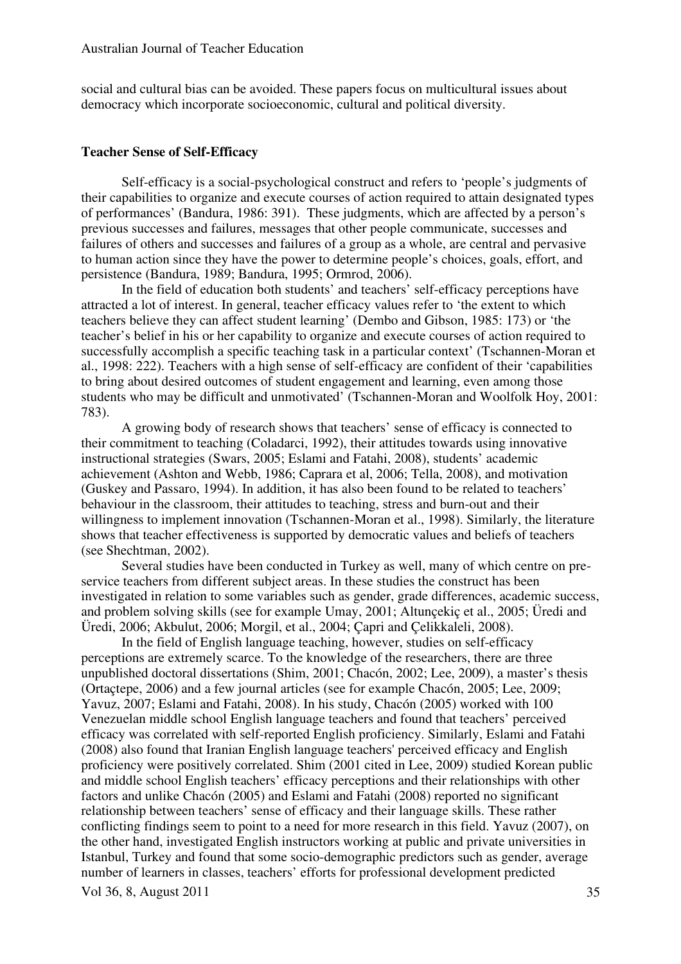social and cultural bias can be avoided. These papers focus on multicultural issues about democracy which incorporate socioeconomic, cultural and political diversity.

## **Teacher Sense of Self-Efficacy**

Self-efficacy is a social-psychological construct and refers to 'people's judgments of their capabilities to organize and execute courses of action required to attain designated types of performances' (Bandura, 1986: 391). These judgments, which are affected by a person's previous successes and failures, messages that other people communicate, successes and failures of others and successes and failures of a group as a whole, are central and pervasive to human action since they have the power to determine people's choices, goals, effort, and persistence (Bandura, 1989; Bandura, 1995; Ormrod, 2006).

In the field of education both students' and teachers' self-efficacy perceptions have attracted a lot of interest. In general, teacher efficacy values refer to 'the extent to which teachers believe they can affect student learning' (Dembo and Gibson, 1985: 173) or 'the teacher's belief in his or her capability to organize and execute courses of action required to successfully accomplish a specific teaching task in a particular context' (Tschannen-Moran et al., 1998: 222). Teachers with a high sense of self-efficacy are confident of their 'capabilities to bring about desired outcomes of student engagement and learning, even among those students who may be difficult and unmotivated' (Tschannen-Moran and Woolfolk Hoy, 2001: 783).

A growing body of research shows that teachers' sense of efficacy is connected to their commitment to teaching (Coladarci, 1992), their attitudes towards using innovative instructional strategies (Swars, 2005; Eslami and Fatahi, 2008), students' academic achievement (Ashton and Webb, 1986; Caprara et al, 2006; Tella, 2008), and motivation (Guskey and Passaro, 1994). In addition, it has also been found to be related to teachers' behaviour in the classroom, their attitudes to teaching, stress and burn-out and their willingness to implement innovation (Tschannen-Moran et al., 1998). Similarly, the literature shows that teacher effectiveness is supported by democratic values and beliefs of teachers (see Shechtman, 2002).

Several studies have been conducted in Turkey as well, many of which centre on preservice teachers from different subject areas. In these studies the construct has been investigated in relation to some variables such as gender, grade differences, academic success, and problem solving skills (see for example Umay, 2001; Altunçekiç et al., 2005; Üredi and Üredi, 2006; Akbulut, 2006; Morgil, et al., 2004; Çapri and Çelikkaleli, 2008).

In the field of English language teaching, however, studies on self-efficacy perceptions are extremely scarce. To the knowledge of the researchers, there are three unpublished doctoral dissertations (Shim, 2001; Chacón, 2002; Lee, 2009), a master's thesis (Ortaçtepe, 2006) and a few journal articles (see for example Chacón, 2005; Lee, 2009; Yavuz, 2007; Eslami and Fatahi, 2008). In his study, Chacón (2005) worked with 100 Venezuelan middle school English language teachers and found that teachers' perceived efficacy was correlated with self-reported English proficiency. Similarly, Eslami and Fatahi (2008) also found that Iranian English language teachers' perceived efficacy and English proficiency were positively correlated. Shim (2001 cited in Lee, 2009) studied Korean public and middle school English teachers' efficacy perceptions and their relationships with other factors and unlike Chacón (2005) and Eslami and Fatahi (2008) reported no significant relationship between teachers' sense of efficacy and their language skills. These rather conflicting findings seem to point to a need for more research in this field. Yavuz (2007), on the other hand, investigated English instructors working at public and private universities in Istanbul, Turkey and found that some socio-demographic predictors such as gender, average number of learners in classes, teachers' efforts for professional development predicted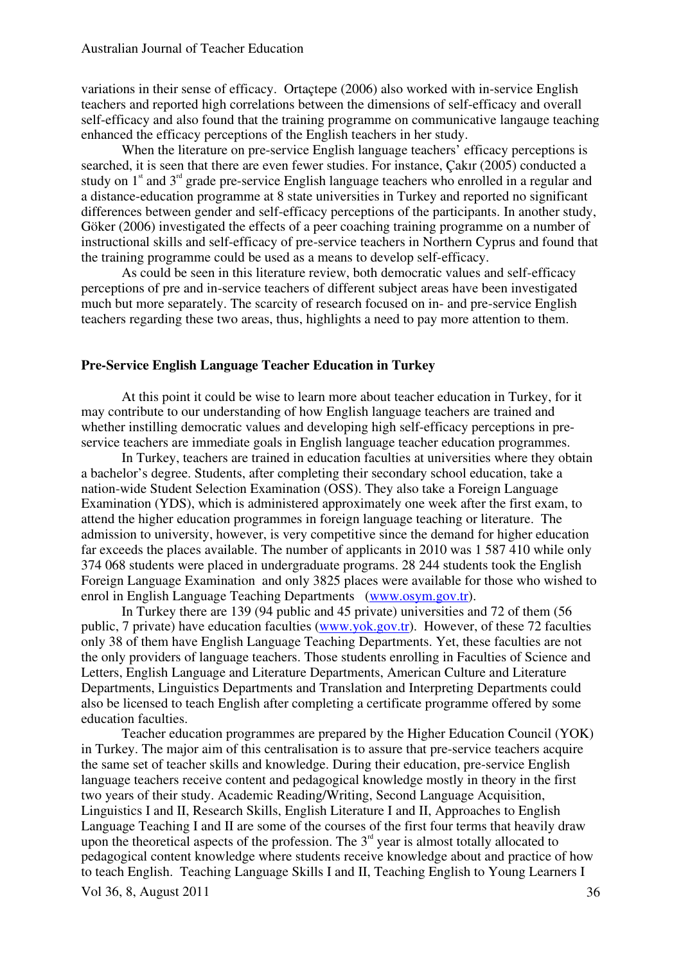variations in their sense of efficacy. Ortaçtepe (2006) also worked with in-service English teachers and reported high correlations between the dimensions of self-efficacy and overall self-efficacy and also found that the training programme on communicative langauge teaching enhanced the efficacy perceptions of the English teachers in her study.

When the literature on pre-service English language teachers' efficacy perceptions is searched, it is seen that there are even fewer studies. For instance, Çakır (2005) conducted a study on  $1<sup>st</sup>$  and  $3<sup>rd</sup>$  grade pre-service English language teachers who enrolled in a regular and a distance-education programme at 8 state universities in Turkey and reported no significant differences between gender and self-efficacy perceptions of the participants. In another study, Göker (2006) investigated the effects of a peer coaching training programme on a number of instructional skills and self-efficacy of pre-service teachers in Northern Cyprus and found that the training programme could be used as a means to develop self-efficacy.

As could be seen in this literature review, both democratic values and self-efficacy perceptions of pre and in-service teachers of different subject areas have been investigated much but more separately. The scarcity of research focused on in- and pre-service English teachers regarding these two areas, thus, highlights a need to pay more attention to them.

# **Pre-Service English Language Teacher Education in Turkey**

At this point it could be wise to learn more about teacher education in Turkey, for it may contribute to our understanding of how English language teachers are trained and whether instilling democratic values and developing high self-efficacy perceptions in preservice teachers are immediate goals in English language teacher education programmes.

In Turkey, teachers are trained in education faculties at universities where they obtain a bachelor's degree. Students, after completing their secondary school education, take a nation-wide Student Selection Examination (OSS). They also take a Foreign Language Examination (YDS), which is administered approximately one week after the first exam, to attend the higher education programmes in foreign language teaching or literature. The admission to university, however, is very competitive since the demand for higher education far exceeds the places available. The number of applicants in 2010 was 1 587 410 while only 374 068 students were placed in undergraduate programs. 28 244 students took the English Foreign Language Examination and only 3825 places were available for those who wished to enrol in English Language Teaching Departments (www.osym.gov.tr).

In Turkey there are 139 (94 public and 45 private) universities and 72 of them (56 public, 7 private) have education faculties (www.yok.gov.tr). However, of these 72 faculties only 38 of them have English Language Teaching Departments. Yet, these faculties are not the only providers of language teachers. Those students enrolling in Faculties of Science and Letters, English Language and Literature Departments, American Culture and Literature Departments, Linguistics Departments and Translation and Interpreting Departments could also be licensed to teach English after completing a certificate programme offered by some education faculties.

Vol 36, 8, August 2011  $\frac{36}{5}$ Teacher education programmes are prepared by the Higher Education Council (YOK) in Turkey. The major aim of this centralisation is to assure that pre-service teachers acquire the same set of teacher skills and knowledge. During their education, pre-service English language teachers receive content and pedagogical knowledge mostly in theory in the first two years of their study. Academic Reading/Writing, Second Language Acquisition, Linguistics I and II, Research Skills, English Literature I and II, Approaches to English Language Teaching I and II are some of the courses of the first four terms that heavily draw upon the theoretical aspects of the profession. The  $3<sup>rd</sup>$  year is almost totally allocated to pedagogical content knowledge where students receive knowledge about and practice of how to teach English. Teaching Language Skills I and II, Teaching English to Young Learners I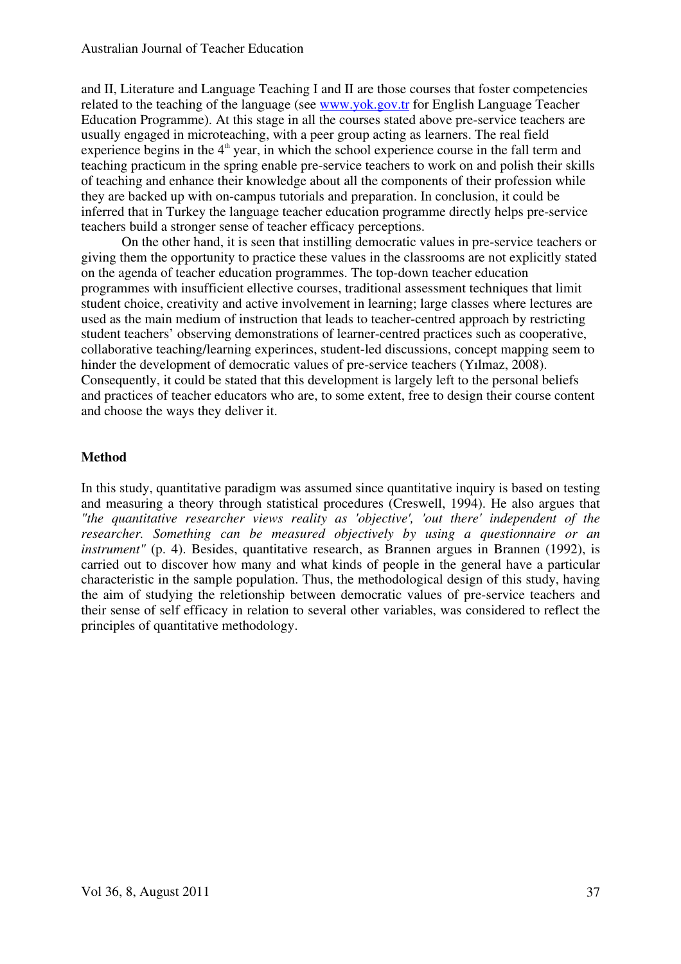and II, Literature and Language Teaching I and II are those courses that foster competencies related to the teaching of the language (see www.yok.gov.tr for English Language Teacher Education Programme). At this stage in all the courses stated above pre-service teachers are usually engaged in microteaching, with a peer group acting as learners. The real field experience begins in the  $4<sup>th</sup>$  year, in which the school experience course in the fall term and teaching practicum in the spring enable pre-service teachers to work on and polish their skills of teaching and enhance their knowledge about all the components of their profession while they are backed up with on-campus tutorials and preparation. In conclusion, it could be inferred that in Turkey the language teacher education programme directly helps pre-service teachers build a stronger sense of teacher efficacy perceptions.

On the other hand, it is seen that instilling democratic values in pre-service teachers or giving them the opportunity to practice these values in the classrooms are not explicitly stated on the agenda of teacher education programmes. The top-down teacher education programmes with insufficient ellective courses, traditional assessment techniques that limit student choice, creativity and active involvement in learning; large classes where lectures are used as the main medium of instruction that leads to teacher-centred approach by restricting student teachers' observing demonstrations of learner-centred practices such as cooperative, collaborative teaching/learning experinces, student-led discussions, concept mapping seem to hinder the development of democratic values of pre-service teachers (Yılmaz, 2008). Consequently, it could be stated that this development is largely left to the personal beliefs and practices of teacher educators who are, to some extent, free to design their course content and choose the ways they deliver it.

# **Method**

In this study, quantitative paradigm was assumed since quantitative inquiry is based on testing and measuring a theory through statistical procedures (Creswell, 1994). He also argues that *"the quantitative researcher views reality as 'objective', 'out there' independent of the researcher. Something can be measured objectively by using a questionnaire or an instrument"* (p. 4). Besides, quantitative research, as Brannen argues in Brannen (1992), is carried out to discover how many and what kinds of people in the general have a particular characteristic in the sample population. Thus, the methodological design of this study, having the aim of studying the reletionship between democratic values of pre-service teachers and their sense of self efficacy in relation to several other variables, was considered to reflect the principles of quantitative methodology.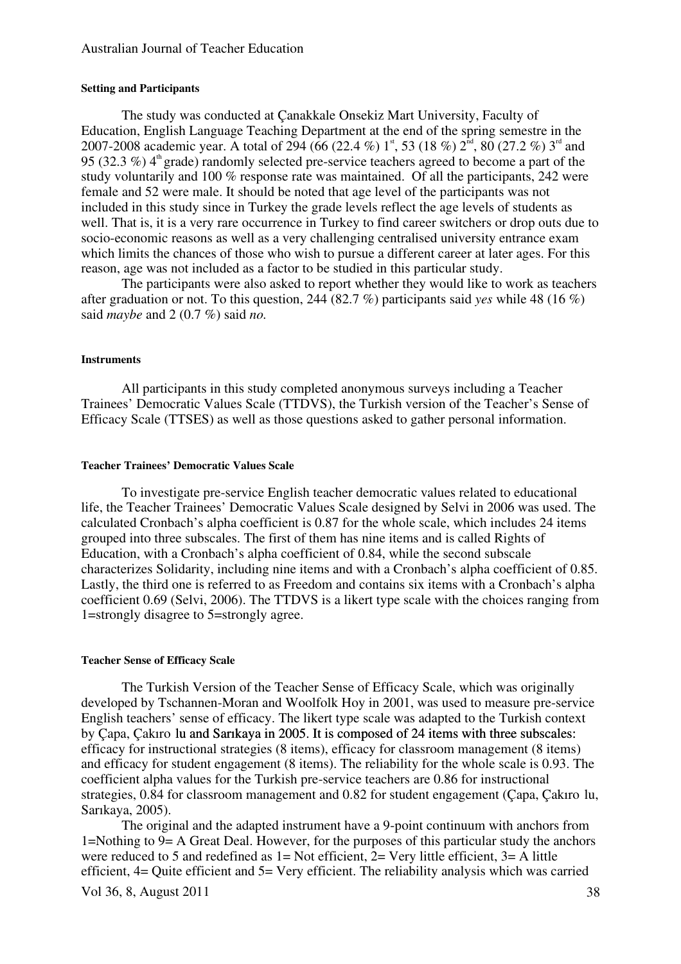### Australian Journal of Teacher Education

## **Setting and Participants**

The study was conducted at Çanakkale Onsekiz Mart University, Faculty of Education, English Language Teaching Department at the end of the spring semestre in the 2007-2008 academic year. A total of 294 (66 (22.4 %) 1<sup>st</sup>, 53 (18 %) 2<sup>nd</sup>, 80 (27.2 %) 3<sup>rd</sup> and 95 (32.3 %)  $4<sup>th</sup>$  grade) randomly selected pre-service teachers agreed to become a part of the study voluntarily and 100 % response rate was maintained. Of all the participants, 242 were female and 52 were male. It should be noted that age level of the participants was not included in this study since in Turkey the grade levels reflect the age levels of students as well. That is, it is a very rare occurrence in Turkey to find career switchers or drop outs due to socio-economic reasons as well as a very challenging centralised university entrance exam which limits the chances of those who wish to pursue a different career at later ages. For this reason, age was not included as a factor to be studied in this particular study.

The participants were also asked to report whether they would like to work as teachers after graduation or not. To this question, 244 (82.7 %) participants said *yes* while 48 (16 %) said *maybe* and 2 (0.7 %) said *no.* 

#### **Instruments**

All participants in this study completed anonymous surveys including a Teacher Trainees' Democratic Values Scale (TTDVS), the Turkish version of the Teacher's Sense of Efficacy Scale (TTSES) as well as those questions asked to gather personal information.

#### **Teacher Trainees' Democratic Values Scale**

To investigate pre-service English teacher democratic values related to educational life, the Teacher Trainees' Democratic Values Scale designed by Selvi in 2006 was used. The calculated Cronbach's alpha coefficient is 0.87 for the whole scale, which includes 24 items grouped into three subscales. The first of them has nine items and is called Rights of Education, with a Cronbach's alpha coefficient of 0.84, while the second subscale characterizes Solidarity, including nine items and with a Cronbach's alpha coefficient of 0.85. Lastly, the third one is referred to as Freedom and contains six items with a Cronbach's alpha coefficient 0.69 (Selvi, 2006). The TTDVS is a likert type scale with the choices ranging from 1=strongly disagree to 5=strongly agree.

#### **Teacher Sense of Efficacy Scale**

The Turkish Version of the Teacher Sense of Efficacy Scale, which was originally developed by Tschannen-Moran and Woolfolk Hoy in 2001, was used to measure pre-service English teachers' sense of efficacy. The likert type scale was adapted to the Turkish context by Capa, Çakıro lu and Sarıkaya in 2005. It is composed of 24 items with three subscales: efficacy for instructional strategies (8 items), efficacy for classroom management (8 items) and efficacy for student engagement (8 items). The reliability for the whole scale is 0.93. The coefficient alpha values for the Turkish pre-service teachers are 0.86 for instructional strategies, 0.84 for classroom management and 0.82 for student engagement (Çapa, Çakıro lu, Sarıkaya, 2005).

Vol 36, 8, August 2011 38 The original and the adapted instrument have a 9-point continuum with anchors from 1=Nothing to 9= A Great Deal. However, for the purposes of this particular study the anchors were reduced to 5 and redefined as  $1 = Not$  efficient,  $2 = Very$  little efficient,  $3 = A$  little efficient, 4= Quite efficient and 5= Very efficient. The reliability analysis which was carried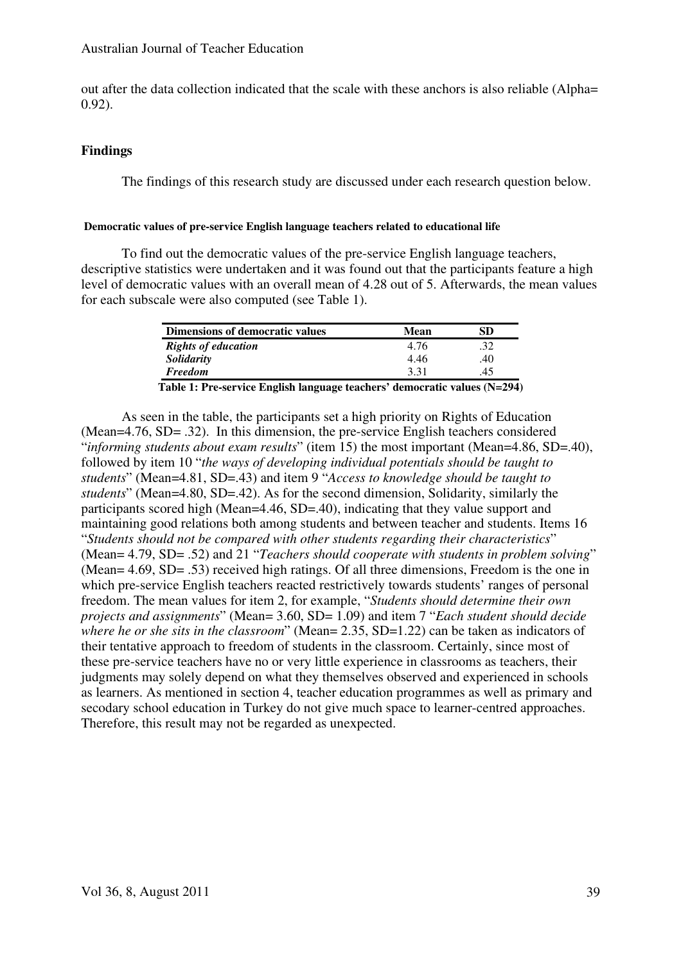out after the data collection indicated that the scale with these anchors is also reliable (Alpha= 0.92).

# **Findings**

The findings of this research study are discussed under each research question below.

# **Democratic values of pre-service English language teachers related to educational life**

To find out the democratic values of the pre-service English language teachers, descriptive statistics were undertaken and it was found out that the participants feature a high level of democratic values with an overall mean of 4.28 out of 5. Afterwards, the mean values for each subscale were also computed (see Table 1).

| Dimensions of democratic values                                           | Mean | SD  |
|---------------------------------------------------------------------------|------|-----|
| <b>Rights of education</b>                                                | 4.76 | .32 |
| Solidarity                                                                | 4.46 | .40 |
| <b>Freedom</b>                                                            | 3.31 | .45 |
| Table 1: Pre-service English language teachers' democratic values (N=294) |      |     |

As seen in the table, the participants set a high priority on Rights of Education (Mean=4.76, SD= .32). In this dimension, the pre-service English teachers considered "*informing students about exam results*" (item 15) the most important (Mean=4.86, SD=.40), followed by item 10 "*the ways of developing individual potentials should be taught to students*" (Mean=4.81, SD=.43) and item 9 "*Access to knowledge should be taught to students*" (Mean=4.80, SD=.42). As for the second dimension, Solidarity, similarly the participants scored high (Mean=4.46, SD=.40), indicating that they value support and maintaining good relations both among students and between teacher and students. Items 16 "*Students should not be compared with other students regarding their characteristics*" (Mean= 4.79, SD= .52) and 21 "*Teachers should cooperate with students in problem solving*" (Mean= 4.69, SD= .53) received high ratings. Of all three dimensions, Freedom is the one in which pre-service English teachers reacted restrictively towards students' ranges of personal freedom. The mean values for item 2, for example, "*Students should determine their own projects and assignments*" (Mean= 3.60, SD= 1.09) and item 7 "*Each student should decide where he or she sits in the classroom*" (Mean= 2.35, SD=1.22) can be taken as indicators of their tentative approach to freedom of students in the classroom. Certainly, since most of these pre-service teachers have no or very little experience in classrooms as teachers, their judgments may solely depend on what they themselves observed and experienced in schools as learners. As mentioned in section 4, teacher education programmes as well as primary and secodary school education in Turkey do not give much space to learner-centred approaches. Therefore, this result may not be regarded as unexpected.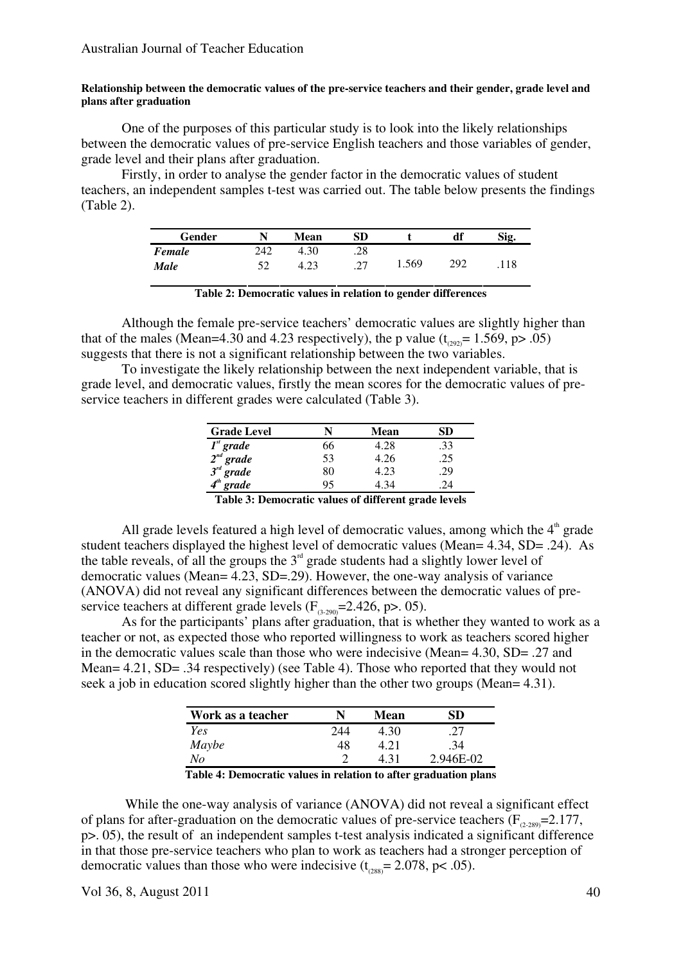### **Relationship between the democratic values of the pre-service teachers and their gender, grade level and plans after graduation**

One of the purposes of this particular study is to look into the likely relationships between the democratic values of pre-service English teachers and those variables of gender, grade level and their plans after graduation.

Firstly, in order to analyse the gender factor in the democratic values of student teachers, an independent samples t-test was carried out. The table below presents the findings (Table 2).

| Gender |     | Mean | SD  |       | df  | Sig. |
|--------|-----|------|-----|-------|-----|------|
| Female | 242 | 4.30 | .28 |       |     |      |
| Male   |     | 4.23 | າາ  | 1.569 | 292 | .118 |

Although the female pre-service teachers' democratic values are slightly higher than that of the males (Mean=4.30 and 4.23 respectively), the p value  $(t_{\text{cusp}} = 1.569, p > .05)$ suggests that there is not a significant relationship between the two variables.

To investigate the likely relationship between the next independent variable, that is grade level, and democratic values, firstly the mean scores for the democratic values of preservice teachers in different grades were calculated (Table 3).

| <b>Grade Level</b>                                                              |    | Mean  | SD  |
|---------------------------------------------------------------------------------|----|-------|-----|
|                                                                                 | 66 | 4.28  | .33 |
|                                                                                 | 53 | 4.26  | .25 |
|                                                                                 | 80 | 4.23  | .29 |
| $\overline{I}^{st}$ grade<br>$2^{nd}$ grade<br>$3^{rd}$ grade<br>$4^{th}$ grade | 95 | 4 3 4 | 24  |
|                                                                                 |    |       |     |

**Table 3: Democratic values of different grade levels** 

All grade levels featured a high level of democratic values, among which the  $4<sup>th</sup>$  grade student teachers displayed the highest level of democratic values (Mean= 4.34, SD= .24). As the table reveals, of all the groups the  $3<sup>rd</sup>$  grade students had a slightly lower level of democratic values (Mean= 4.23, SD=.29). However, the one-way analysis of variance (ANOVA) did not reveal any significant differences between the democratic values of preservice teachers at different grade levels  $(F_{(3,290)}=2.426, p>0.05)$ .

 As for the participants' plans after graduation, that is whether they wanted to work as a teacher or not, as expected those who reported willingness to work as teachers scored higher in the democratic values scale than those who were indecisive (Mean= 4.30, SD= .27 and Mean= 4.21, SD= .34 respectively) (see Table 4). Those who reported that they would not seek a job in education scored slightly higher than the other two groups (Mean= 4.31).

| Work as a teacher |     | Mean | SD        |
|-------------------|-----|------|-----------|
| <b>Yes</b>        | 244 | 4.30 |           |
| Maybe             | 48  | 4.21 | .34       |
| No                | ി   | 4 31 | 2.946E-02 |

**Table 4: Democratic values in relation to after graduation plans** 

 While the one-way analysis of variance (ANOVA) did not reveal a significant effect of plans for after-graduation on the democratic values of pre-service teachers ( $F_{(2,289)}$ =2.177, p>. 05), the result of an independent samples t-test analysis indicated a significant difference in that those pre-service teachers who plan to work as teachers had a stronger perception of democratic values than those who were indecisive  $(t<sub>cos</sub>) = 2.078$ , p< .05).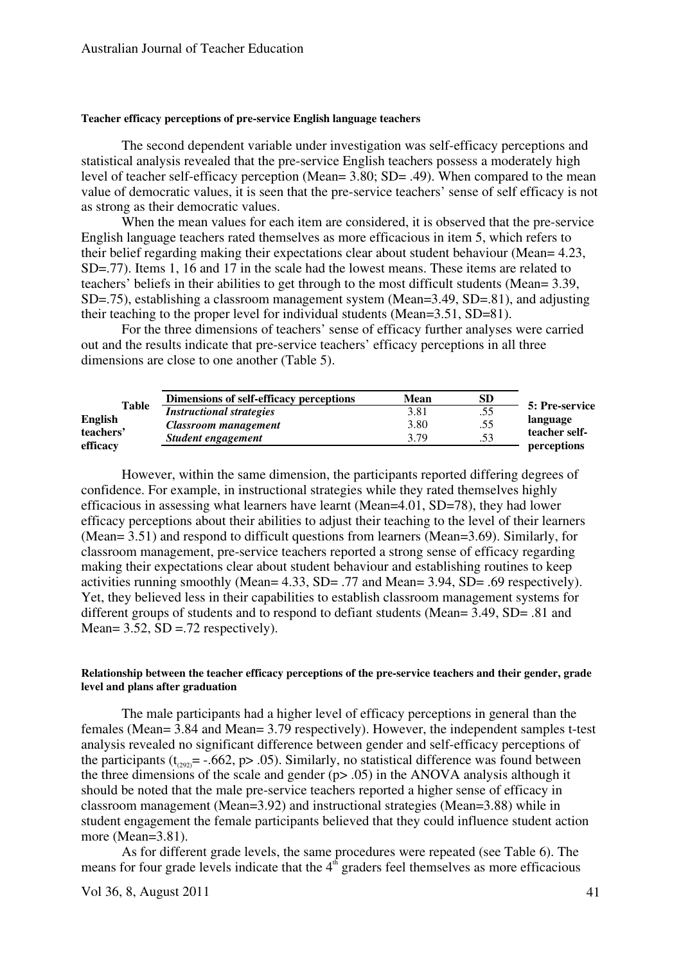#### **Teacher efficacy perceptions of pre-service English language teachers**

The second dependent variable under investigation was self-efficacy perceptions and statistical analysis revealed that the pre-service English teachers possess a moderately high level of teacher self-efficacy perception (Mean= 3.80; SD= .49). When compared to the mean value of democratic values, it is seen that the pre-service teachers' sense of self efficacy is not as strong as their democratic values.

When the mean values for each item are considered, it is observed that the pre-service English language teachers rated themselves as more efficacious in item 5, which refers to their belief regarding making their expectations clear about student behaviour (Mean= 4.23, SD=.77). Items 1, 16 and 17 in the scale had the lowest means. These items are related to teachers' beliefs in their abilities to get through to the most difficult students (Mean= 3.39,  $SD = .75$ ), establishing a classroom management system (Mean=3.49, SD=.81), and adjusting their teaching to the proper level for individual students (Mean=3.51, SD=81).

For the three dimensions of teachers' sense of efficacy further analyses were carried out and the results indicate that pre-service teachers' efficacy perceptions in all three dimensions are close to one another (Table 5).

|                | Dimensions of self-efficacy perceptions | <b>Mean</b> | SD  |                |
|----------------|-----------------------------------------|-------------|-----|----------------|
| Table          | <i>Instructional strategies</i>         | 3.81        | .55 | 5: Pre-service |
| <b>English</b> | Classroom management                    | 3.80        | .55 | language       |
| teachers'      | Student engagement                      | 3.79        | .53 | teacher self-  |
| efficacy       |                                         |             |     | perceptions    |

However, within the same dimension, the participants reported differing degrees of confidence. For example, in instructional strategies while they rated themselves highly efficacious in assessing what learners have learnt (Mean=4.01, SD=78), they had lower efficacy perceptions about their abilities to adjust their teaching to the level of their learners (Mean= 3.51) and respond to difficult questions from learners (Mean=3.69). Similarly, for classroom management, pre-service teachers reported a strong sense of efficacy regarding making their expectations clear about student behaviour and establishing routines to keep activities running smoothly (Mean= 4.33, SD= .77 and Mean= 3.94, SD= .69 respectively). Yet, they believed less in their capabilities to establish classroom management systems for different groups of students and to respond to defiant students (Mean= 3.49, SD= .81 and Mean=  $3.52$ , SD =  $.72$  respectively).

## **Relationship between the teacher efficacy perceptions of the pre-service teachers and their gender, grade level and plans after graduation**

The male participants had a higher level of efficacy perceptions in general than the females (Mean= 3.84 and Mean= 3.79 respectively). However, the independent samples t-test analysis revealed no significant difference between gender and self-efficacy perceptions of the participants ( $t_{\text{coup}}$  = -.662, p> .05). Similarly, no statistical difference was found between the three dimensions of the scale and gender  $(p> .05)$  in the ANOVA analysis although it should be noted that the male pre-service teachers reported a higher sense of efficacy in classroom management (Mean=3.92) and instructional strategies (Mean=3.88) while in student engagement the female participants believed that they could influence student action more (Mean=3.81).

 As for different grade levels, the same procedures were repeated (see Table 6). The means for four grade levels indicate that the  $4<sup>th</sup>$  graders feel themselves as more efficacious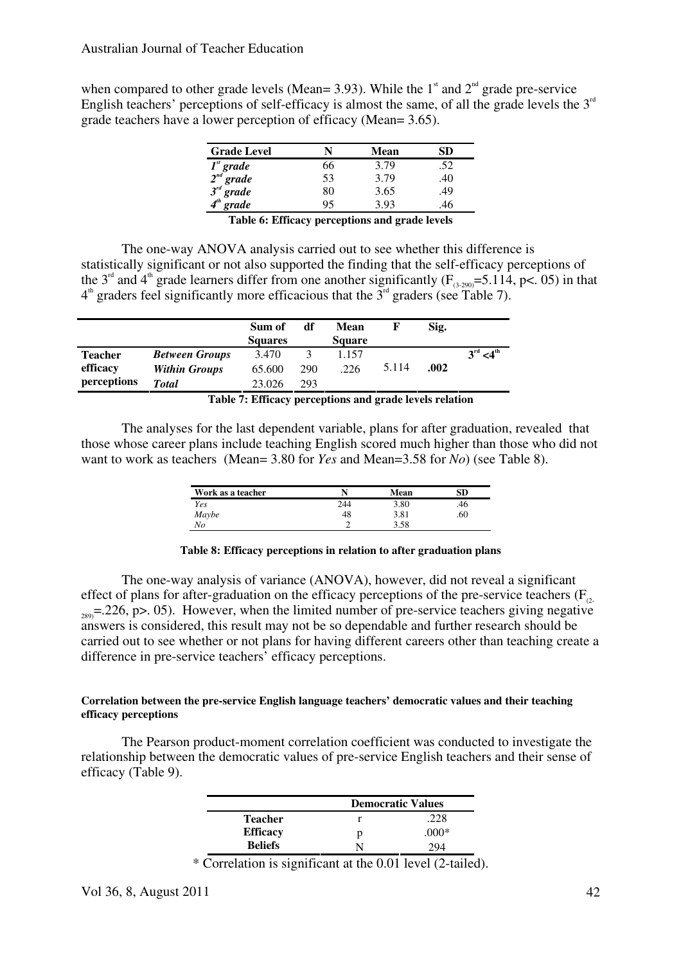when compared to other grade levels (Mean= 3.93). While the  $1^{\text{st}}$  and  $2^{\text{nd}}$  grade pre-service English teachers' perceptions of self-efficacy is almost the same, of all the grade levels the  $3<sup>rd</sup>$ grade teachers have a lower perception of efficacy (Mean= 3.65).

| <b>Grade Level</b>                                       |    | Mean | SD. |
|----------------------------------------------------------|----|------|-----|
| $Ist grade$<br>$2nd grade$<br>$3rd grade$<br>$4th grade$ | 66 | 3.79 | .52 |
|                                                          | 53 | 3.79 | .40 |
|                                                          | 80 | 3.65 | .49 |
|                                                          | 95 | 3.93 |     |

**Table 6: Efficacy perceptions and grade levels** 

The one-way ANOVA analysis carried out to see whether this difference is statistically significant or not also supported the finding that the self-efficacy perceptions of the 3<sup>rd</sup> and 4<sup>th</sup> grade learners differ from one another significantly (F<sub>(3-290</sub>)=5.114, p<. 05) in that  $4^{\text{th}}$  graders feel significantly more efficacious that the  $3^{\text{rd}}$  graders (see Table 7).

|                |                       | Sum of<br><b>Squares</b> | df           | Mean<br><b>Square</b> |       | Sig.     |                           |
|----------------|-----------------------|--------------------------|--------------|-----------------------|-------|----------|---------------------------|
| <b>Teacher</b> | <b>Between Groups</b> | 3.470                    | $\mathbf{R}$ | 1.157                 |       |          | $3^{\rm rd} < 4^{\rm th}$ |
| efficacy       | <b>Within Groups</b>  | 65.600                   | 290          | .226                  | 5.114 | .002     |                           |
| perceptions    | <b>Total</b>          | 23.026                   | 293          |                       |       |          |                           |
|                | .                     | $\blacksquare$           |              |                       |       | $\cdots$ |                           |

**Table 7: Efficacy perceptions and grade levels relation** 

The analyses for the last dependent variable, plans for after graduation, revealed that those whose career plans include teaching English scored much higher than those who did not want to work as teachers (Mean= 3.80 for *Yes* and Mean=3.58 for *No*) (see Table 8).

| Work as a teacher |     | Mean | SD  |
|-------------------|-----|------|-----|
| Yes               | 244 | 3.80 | .46 |
| Maybe<br>No       | 48  | 3.81 | 60  |
|                   |     | 3.58 |     |

## **Table 8: Efficacy perceptions in relation to after graduation plans**

The one-way analysis of variance (ANOVA), however, did not reveal a significant effect of plans for after-graduation on the efficacy perceptions of the pre-service teachers  $(F_{\alpha})$  $_{289}$ =.226, p>. 05). However, when the limited number of pre-service teachers giving negative answers is considered, this result may not be so dependable and further research should be carried out to see whether or not plans for having different careers other than teaching create a difference in pre-service teachers' efficacy perceptions.

# **Correlation between the pre-service English language teachers' democratic values and their teaching efficacy perceptions**

The Pearson product-moment correlation coefficient was conducted to investigate the relationship between the democratic values of pre-service English teachers and their sense of efficacy (Table 9).

|                 | <b>Democratic Values</b> |        |  |
|-----------------|--------------------------|--------|--|
| <b>Teacher</b>  |                          | 228    |  |
| <b>Efficacy</b> |                          | $000*$ |  |
| <b>Beliefs</b>  |                          | 204    |  |

\* Correlation is significant at the 0.01 level (2-tailed).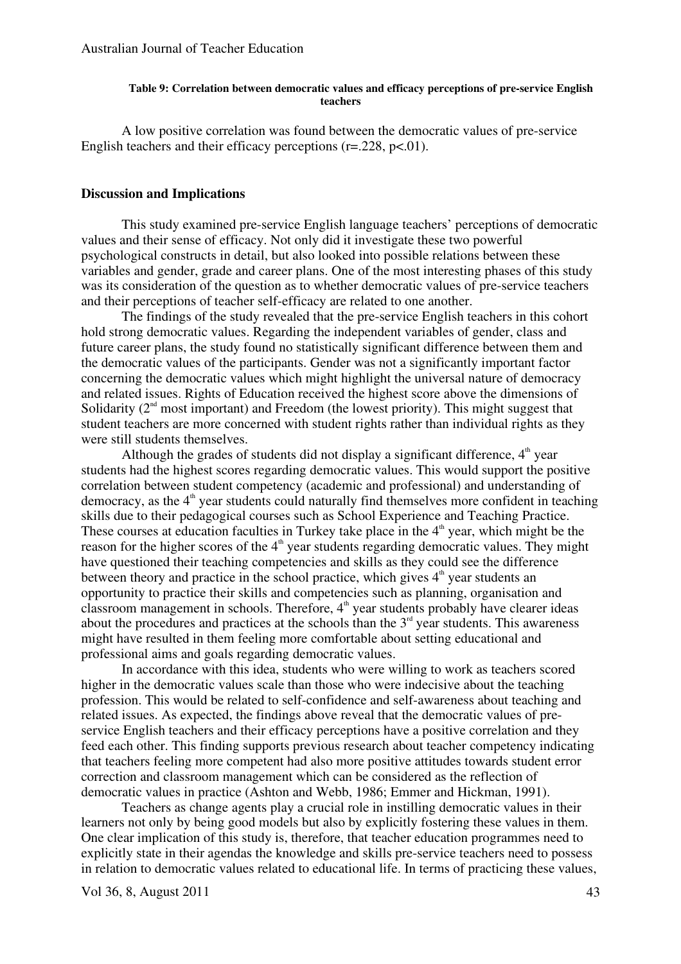#### **Table 9: Correlation between democratic values and efficacy perceptions of pre-service English teachers**

A low positive correlation was found between the democratic values of pre-service English teachers and their efficacy perceptions  $(r=.228, p<.01)$ .

# **Discussion and Implications**

This study examined pre-service English language teachers' perceptions of democratic values and their sense of efficacy. Not only did it investigate these two powerful psychological constructs in detail, but also looked into possible relations between these variables and gender, grade and career plans. One of the most interesting phases of this study was its consideration of the question as to whether democratic values of pre-service teachers and their perceptions of teacher self-efficacy are related to one another.

The findings of the study revealed that the pre-service English teachers in this cohort hold strong democratic values. Regarding the independent variables of gender, class and future career plans, the study found no statistically significant difference between them and the democratic values of the participants. Gender was not a significantly important factor concerning the democratic values which might highlight the universal nature of democracy and related issues. Rights of Education received the highest score above the dimensions of Solidarity  $(2<sup>nd</sup>$  most important) and Freedom (the lowest priority). This might suggest that student teachers are more concerned with student rights rather than individual rights as they were still students themselves.

Although the grades of students did not display a significant difference,  $4<sup>th</sup>$  year students had the highest scores regarding democratic values. This would support the positive correlation between student competency (academic and professional) and understanding of democracy, as the  $4<sup>th</sup>$  year students could naturally find themselves more confident in teaching skills due to their pedagogical courses such as School Experience and Teaching Practice. These courses at education faculties in Turkey take place in the  $4<sup>th</sup>$  year, which might be the reason for the higher scores of the  $4<sup>th</sup>$  year students regarding democratic values. They might have questioned their teaching competencies and skills as they could see the difference between theory and practice in the school practice, which gives  $4<sup>th</sup>$  year students an opportunity to practice their skills and competencies such as planning, organisation and classroom management in schools. Therefore,  $4<sup>th</sup>$  year students probably have clearer ideas about the procedures and practices at the schools than the  $3<sup>rd</sup>$  year students. This awareness might have resulted in them feeling more comfortable about setting educational and professional aims and goals regarding democratic values.

In accordance with this idea, students who were willing to work as teachers scored higher in the democratic values scale than those who were indecisive about the teaching profession. This would be related to self-confidence and self-awareness about teaching and related issues. As expected, the findings above reveal that the democratic values of preservice English teachers and their efficacy perceptions have a positive correlation and they feed each other. This finding supports previous research about teacher competency indicating that teachers feeling more competent had also more positive attitudes towards student error correction and classroom management which can be considered as the reflection of democratic values in practice (Ashton and Webb, 1986; Emmer and Hickman, 1991).

Teachers as change agents play a crucial role in instilling democratic values in their learners not only by being good models but also by explicitly fostering these values in them. One clear implication of this study is, therefore, that teacher education programmes need to explicitly state in their agendas the knowledge and skills pre-service teachers need to possess in relation to democratic values related to educational life. In terms of practicing these values,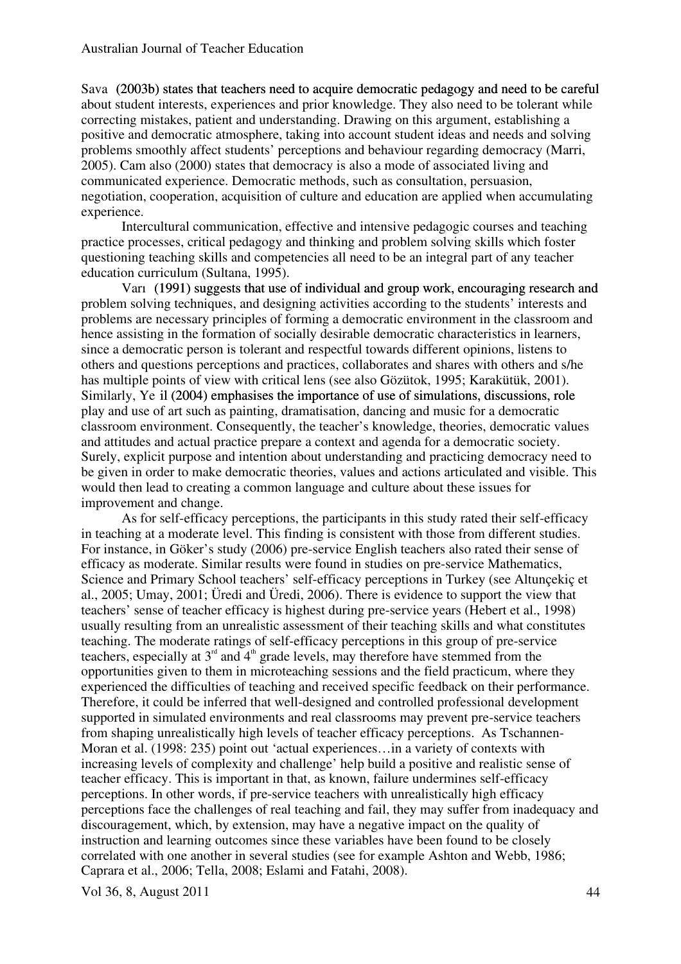Sava (2003b) states that teachers need to acquire democratic pedagogy and need to be careful about student interests, experiences and prior knowledge. They also need to be tolerant while correcting mistakes, patient and understanding. Drawing on this argument, establishing a positive and democratic atmosphere, taking into account student ideas and needs and solving problems smoothly affect students' perceptions and behaviour regarding democracy (Marri, 2005). Cam also (2000) states that democracy is also a mode of associated living and communicated experience. Democratic methods, such as consultation, persuasion, negotiation, cooperation, acquisition of culture and education are applied when accumulating experience.

Intercultural communication, effective and intensive pedagogic courses and teaching practice processes, critical pedagogy and thinking and problem solving skills which foster questioning teaching skills and competencies all need to be an integral part of any teacher education curriculum (Sultana, 1995).

Varıș (1991) suggests that use of individual and group work, encouraging research and (1991) suggests that use of individual and group work, encouraging research and problem solving techniques, and designing activities according to the students' interests and problems are necessary principles of forming a democratic environment in the classroom and hence assisting in the formation of socially desirable democratic characteristics in learners, since a democratic person is tolerant and respectful towards different opinions, listens to others and questions perceptions and practices, collaborates and shares with others and s/he has multiple points of view with critical lens (see also Gözütok, 1995; Karakütük, 2001). Similarly, Ye il (2004) emphasises the importance of use of simulations, discussions, role play and use of art such as painting, dramatisation, dancing and music for a democratic classroom environment. Consequently, the teacher's knowledge, theories, democratic values and attitudes and actual practice prepare a context and agenda for a democratic society. Surely, explicit purpose and intention about understanding and practicing democracy need to be given in order to make democratic theories, values and actions articulated and visible. This would then lead to creating a common language and culture about these issues for improvement and change.

As for self-efficacy perceptions, the participants in this study rated their self-efficacy in teaching at a moderate level. This finding is consistent with those from different studies. For instance, in Göker's study (2006) pre-service English teachers also rated their sense of efficacy as moderate. Similar results were found in studies on pre-service Mathematics, Science and Primary School teachers' self-efficacy perceptions in Turkey (see Altunçekiç et al., 2005; Umay, 2001; Üredi and Üredi, 2006). There is evidence to support the view that teachers' sense of teacher efficacy is highest during pre-service years (Hebert et al., 1998) usually resulting from an unrealistic assessment of their teaching skills and what constitutes teaching. The moderate ratings of self-efficacy perceptions in this group of pre-service teachers, especially at  $3<sup>rd</sup>$  and  $4<sup>th</sup>$  grade levels, may therefore have stemmed from the opportunities given to them in microteaching sessions and the field practicum, where they experienced the difficulties of teaching and received specific feedback on their performance. Therefore, it could be inferred that well-designed and controlled professional development supported in simulated environments and real classrooms may prevent pre-service teachers from shaping unrealistically high levels of teacher efficacy perceptions. As Tschannen-Moran et al. (1998: 235) point out 'actual experiences... in a variety of contexts with increasing levels of complexity and challenge' help build a positive and realistic sense of teacher efficacy. This is important in that, as known, failure undermines self-efficacy perceptions. In other words, if pre-service teachers with unrealistically high efficacy perceptions face the challenges of real teaching and fail, they may suffer from inadequacy and discouragement, which, by extension, may have a negative impact on the quality of instruction and learning outcomes since these variables have been found to be closely correlated with one another in several studies (see for example Ashton and Webb, 1986; Caprara et al., 2006; Tella, 2008; Eslami and Fatahi, 2008).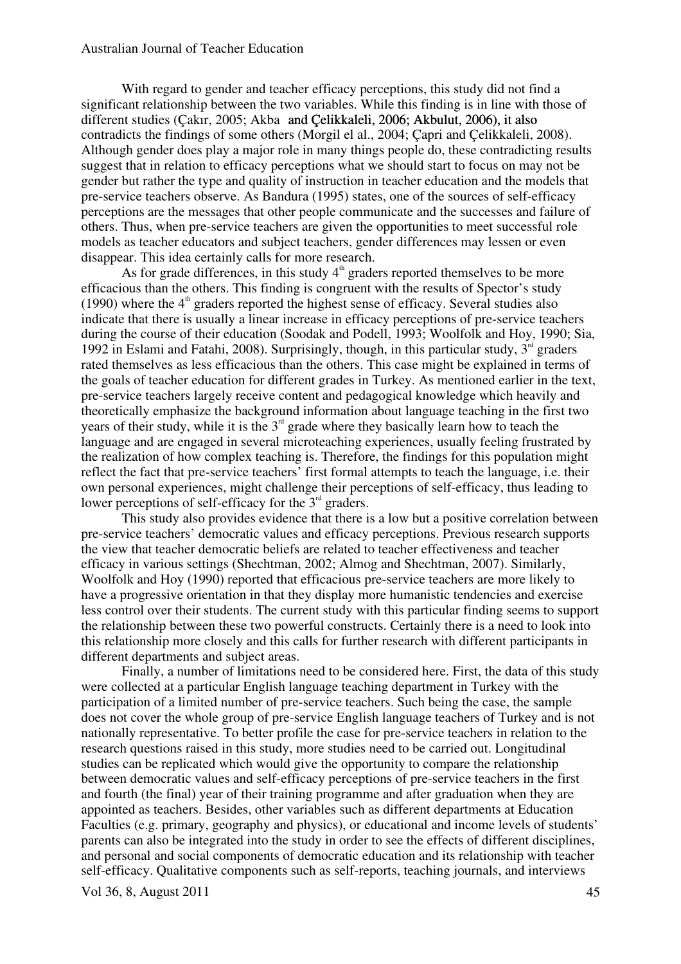### Australian Journal of Teacher Education

With regard to gender and teacher efficacy perceptions, this study did not find a significant relationship between the two variables. While this finding is in line with those of different studies (Cakır, 2005; Akba and Celikkaleli, 2006; Akbulut, 2006), it also contradicts the findings of some others (Morgil el al., 2004; Çapri and Çelikkaleli, 2008). Although gender does play a major role in many things people do, these contradicting results suggest that in relation to efficacy perceptions what we should start to focus on may not be gender but rather the type and quality of instruction in teacher education and the models that pre-service teachers observe. As Bandura (1995) states, one of the sources of self-efficacy perceptions are the messages that other people communicate and the successes and failure of others. Thus, when pre-service teachers are given the opportunities to meet successful role models as teacher educators and subject teachers, gender differences may lessen or even disappear. This idea certainly calls for more research.

As for grade differences, in this study  $4<sup>th</sup>$  graders reported themselves to be more efficacious than the others. This finding is congruent with the results of Spector's study (1990) where the  $4<sup>th</sup>$  graders reported the highest sense of efficacy. Several studies also indicate that there is usually a linear increase in efficacy perceptions of pre-service teachers during the course of their education (Soodak and Podell, 1993; Woolfolk and Hoy, 1990; Sia, 1992 in Eslami and Fatahi, 2008). Surprisingly, though, in this particular study,  $3<sup>rd</sup>$  graders rated themselves as less efficacious than the others. This case might be explained in terms of the goals of teacher education for different grades in Turkey. As mentioned earlier in the text, pre-service teachers largely receive content and pedagogical knowledge which heavily and theoretically emphasize the background information about language teaching in the first two years of their study, while it is the  $3<sup>rd</sup>$  grade where they basically learn how to teach the language and are engaged in several microteaching experiences, usually feeling frustrated by the realization of how complex teaching is. Therefore, the findings for this population might reflect the fact that pre-service teachers' first formal attempts to teach the language, i.e. their own personal experiences, might challenge their perceptions of self-efficacy, thus leading to lower perceptions of self-efficacy for the  $3<sup>rd</sup>$  graders.

 This study also provides evidence that there is a low but a positive correlation between pre-service teachers' democratic values and efficacy perceptions. Previous research supports the view that teacher democratic beliefs are related to teacher effectiveness and teacher efficacy in various settings (Shechtman, 2002; Almog and Shechtman, 2007). Similarly, Woolfolk and Hoy (1990) reported that efficacious pre-service teachers are more likely to have a progressive orientation in that they display more humanistic tendencies and exercise less control over their students. The current study with this particular finding seems to support the relationship between these two powerful constructs. Certainly there is a need to look into this relationship more closely and this calls for further research with different participants in different departments and subject areas.

Finally, a number of limitations need to be considered here. First, the data of this study were collected at a particular English language teaching department in Turkey with the participation of a limited number of pre-service teachers. Such being the case, the sample does not cover the whole group of pre-service English language teachers of Turkey and is not nationally representative. To better profile the case for pre-service teachers in relation to the research questions raised in this study, more studies need to be carried out. Longitudinal studies can be replicated which would give the opportunity to compare the relationship between democratic values and self-efficacy perceptions of pre-service teachers in the first and fourth (the final) year of their training programme and after graduation when they are appointed as teachers. Besides, other variables such as different departments at Education Faculties (e.g. primary, geography and physics), or educational and income levels of students' parents can also be integrated into the study in order to see the effects of different disciplines, and personal and social components of democratic education and its relationship with teacher self-efficacy. Qualitative components such as self-reports, teaching journals, and interviews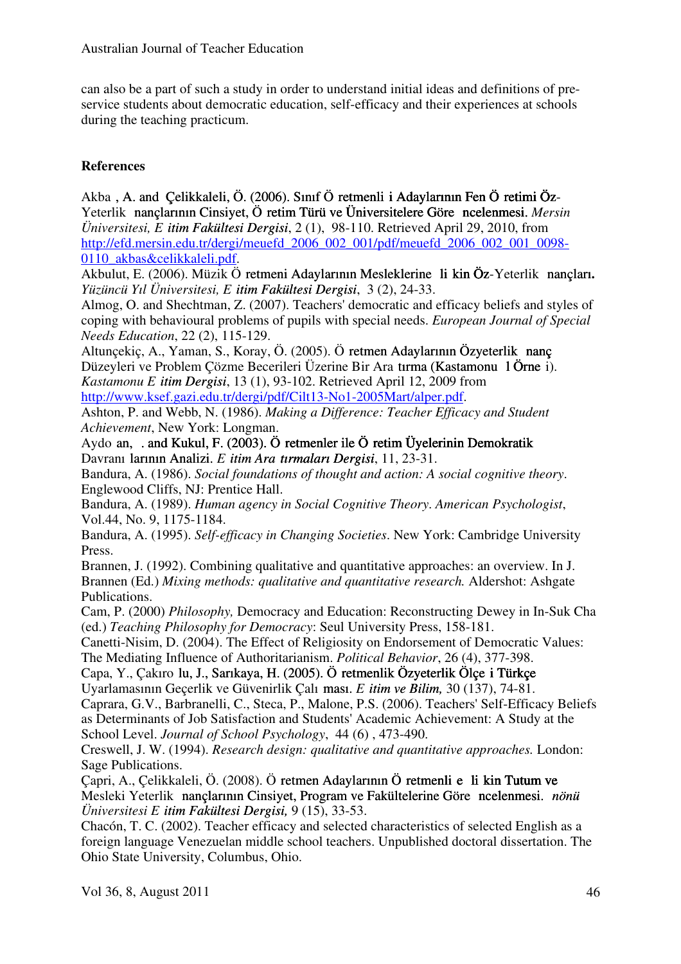can also be a part of such a study in order to understand initial ideas and definitions of preservice students about democratic education, self-efficacy and their experiences at schools during the teaching practicum.

# **References**

Akba, A. and Çelikkaleli, Ö. (2006). Sınıf Ö retmenli i Adaylarının Fen Ö retimi Öz-Yeterlik nançlarının Cinsiyet, Ö retim Türü ve Üniversitelere Göre ncelenmesi. *Mersin Üniversitesi, Eğ itim Fakültesi Dergisi itim Fakültesi Dergisi*, 2 (1), 98-110. Retrieved April 29, 2010, from http://efd.mersin.edu.tr/dergi/meuefd\_2006\_002\_001/pdf/meuefd\_2006\_002\_001\_0098- 0110\_akbas&celikkaleli.pdf.

Akbulut, E. (2006). Müzik Ö retmeni Adaylarının Mesleklerine li kin Öz-Yeterlik nançları. *Yüzüncü Yıl Üniversitesi, Eğ itim Fakültesi Dergisi itim Fakültesi Dergisi*, 3 (2), 24-33.

Almog, O. and Shechtman, Z. (2007). Teachers' democratic and efficacy beliefs and styles of coping with behavioural problems of pupils with special needs. *European Journal of Special Needs Education*, 22 (2), 115-129.

Altunçekiç, A., Yaman, S., Koray, Ö. (2005). Ö retmen Adaylarının Özyeterlik nanç Düzeyleri ve Problem Çözme Becerileri Üzerine Bir Ara tırma (Kastamonu 1 Örne i). *Kastamonu Eğ itim Dergisi itim Dergisi*, 13 (1), 93-102. Retrieved April 12, 2009 from

http://www.ksef.gazi.edu.tr/dergi/pdf/Cilt13-No1-2005Mart/alper.pdf.

Ashton, P. and Webb, N. (1986). *Making a Difference: Teacher Efficacy and Student Achievement*, New York: Longman.

Aydo an, . and Kukul, F. (2003). Ö retmenler ile Ö retim Üyelerinin Demokratik Davranı larının Analizi. *Eitim Ara<i>tırmaları Dergisi*, 11, 23-31.

Bandura, A. (1986). *Social foundations of thought and action: A social cognitive theory*. Englewood Cliffs, NJ: Prentice Hall.

Bandura, A. (1989). *Human agency in Social Cognitive Theory*. *American Psychologist*, Vol.44, No. 9, 1175-1184.

Bandura, A. (1995). *Self-efficacy in Changing Societies*. New York: Cambridge University Press.

Brannen, J. (1992). Combining qualitative and quantitative approaches: an overview. In J. Brannen (Ed.) *Mixing methods: qualitative and quantitative research.* Aldershot: Ashgate Publications.

Cam, P. (2000) *Philosophy,* Democracy and Education: Reconstructing Dewey in In-Suk Cha (ed.) *Teaching Philosophy for Democracy*: Seul University Press, 158-181.

Canetti-Nisim, D. (2004). The Effect of Religiosity on Endorsement of Democratic Values: The Mediating Influence of Authoritarianism. *Political Behavior*, 26 (4), 377-398.

Capa, Y., Çakıro lu, J., Sarıkaya, H. (2005). Ö retmenlik Özyeterlik Ölçe i Türkçe Uyarlamasının Geçerlik ve Güvenirlik Çalı ması. *E* itim ve Bilim, 30 (137), 74-81.

Caprara, G.V., Barbranelli, C., Steca, P., Malone, P.S. (2006). Teachers' Self-Efficacy Beliefs as Determinants of Job Satisfaction and Students' Academic Achievement: A Study at the School Level. *Journal of School Psychology*, 44 (6) , 473-490.

Creswell, J. W. (1994). *Research design: qualitative and quantitative approaches.* London: Sage Publications.

Çapri, A., Çelikkaleli, Ö. (2008). Ö retmen Adaylarının Ö retmenli e li kin Tutum ve Mesleki Yeterlik İ nançlarının Cinsiyet, Program ve Fakültelerine Göre İ ncelenmesi. nançlarının Cinsiyet, Program ve Fakültelerine Göre ncelenmesi. *İ nönü nönü Üniversitesi Eğ itim Fakültesi Dergisi, itim Fakültesi Dergisi,* 9 (15), 33-53.

Chacón, T. C. (2002). Teacher efficacy and selected characteristics of selected English as a foreign language Venezuelan middle school teachers. Unpublished doctoral dissertation. The Ohio State University, Columbus, Ohio.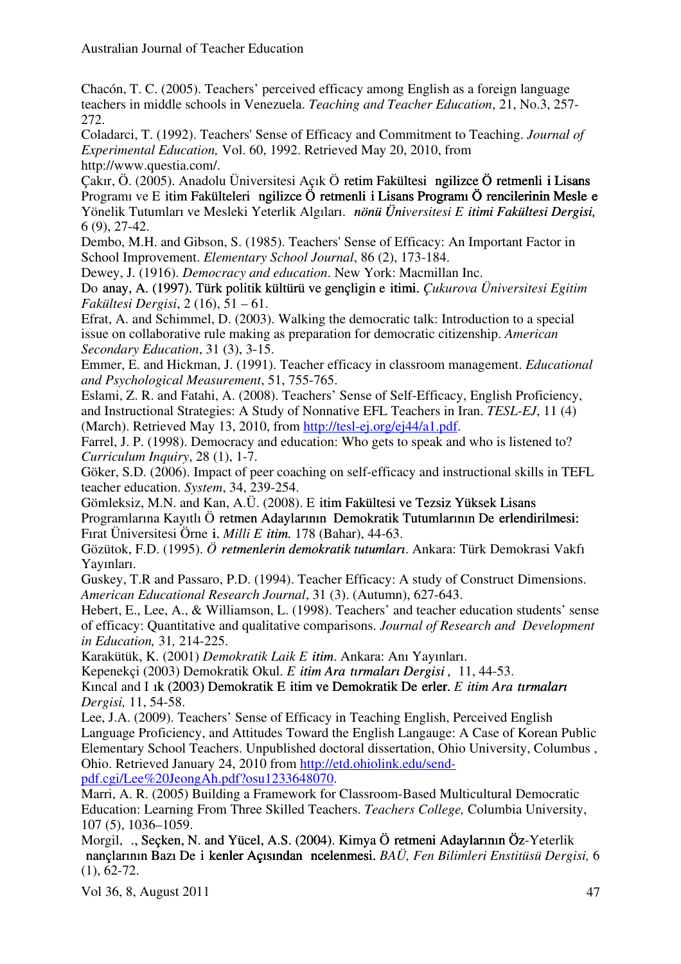Chacón, T. C. (2005). Teachers' perceived efficacy among English as a foreign language teachers in middle schools in Venezuela. *Teaching and Teacher Education*, 21, No.3, 257- 272.

Coladarci, T. (1992). Teachers' Sense of Efficacy and Commitment to Teaching. *Journal of Experimental Education,* Vol. 60, 1992. Retrieved May 20, 2010, from http://www.questia.com/.

Çakır, Ö. (2005). Anadolu Üniversitesi Açık Ö retim Fakültesi ngilizce Ö retmenli i Lisans Programı ve E itim Fakülteleri ngilizce Ö retmenli i Lisans Programı Ö rencilerinin Mesle e Yönelik Tutumları ve Mesleki Yeterlik Algıları. *İ nönü Üni nönü Üniversitesi Eğ itimi Fakültesi Dergisi, itimi Fakültesi Dergisi,* 6 (9), 27-42.

Dembo, M.H. and Gibson, S. (1985). Teachers' Sense of Efficacy: An Important Factor in School Improvement. *Elementary School Journal*, 86 (2), 173-184.

Dewey, J. (1916). *Democracy and education*. New York: Macmillan Inc.

Do anay, A. (1997). Türk politik kültürü ve gençligin e itimi. *Çukurova Üniversitesi Egitim Fakültesi Dergisi*, 2 (16), 51 – 61.

Efrat, A. and Schimmel, D. (2003). Walking the democratic talk: Introduction to a special issue on collaborative rule making as preparation for democratic citizenship. *American Secondary Education*, 31 (3), 3-15.

Emmer, E. and Hickman, J. (1991). Teacher efficacy in classroom management. *Educational and Psychological Measurement*, 51, 755-765.

Eslami, Z. R. and Fatahi, A. (2008). Teachers' Sense of Self-Efficacy, English Proficiency, and Instructional Strategies: A Study of Nonnative EFL Teachers in Iran. *TESL-EJ*, 11 (4) (March). Retrieved May 13, 2010, from http://tesl-ej.org/ej44/a1.pdf.

Farrel, J. P. (1998). Democracy and education: Who gets to speak and who is listened to? *Curriculum Inquiry*, 28 (1), 1-7.

Göker, S.D. (2006). Impact of peer coaching on self-efficacy and instructional skills in TEFL teacher education. *System*, 34, 239-254.

Gömleksiz, M.N. and Kan, A.Ü. (2008). E itim Fakültesi ve Tezsiz Yüksek Lisans Programlarına Kayıtlı Ö retmen Adaylarının Demokratik Tutumlarının De erlendirilmesi: Firat Üniversitesi Örne i. *Milli E itim.* 178 (Bahar), 44-63.

Gözütok, F.D. (1995).  $\ddot{O}$  retmenlerin demokratik tutumları. Ankara: Türk Demokrasi Vakfı Yayınları.

Guskey, T.R and Passaro, P.D. (1994). Teacher Efficacy: A study of Construct Dimensions. *American Educational Research Journal*, 31 (3). (Autumn), 627-643.

Hebert, E., Lee, A., & Williamson, L. (1998). Teachers' and teacher education students' sense of efficacy: Quantitative and qualitative comparisons. *Journal of Research and Development in Education,* 31*,* 214-225.

Karakütük, K. (2001) *Demokratik Laik Eğ itimitim*. Ankara: Anı Yayınları.

Kepenekci (2003) Demokratik Okul. *E itim Ara turmaları Dergisi*, 11, 44-53.

Kıncal and I<sub>1</sub>k (2003) Demokratik E itim ve Demokratik De erler. *E itim Ara tırmaları i Dergisi,* 11, 54-58.

Lee, J.A. (2009). Teachers' Sense of Efficacy in Teaching English, Perceived English Language Proficiency, and Attitudes Toward the English Langauge: A Case of Korean Public Elementary School Teachers. Unpublished doctoral dissertation, Ohio University, Columbus , Ohio. Retrieved January 24, 2010 from http://etd.ohiolink.edu/sendpdf.cgi/Lee%20JeongAh.pdf?osu1233648070.

Marri, A. R. (2005) Building a Framework for Classroom-Based Multicultural Democratic Education: Learning From Three Skilled Teachers. *Teachers College,* Columbia University, 107 (5), 1036–1059.

Morgil, ., Seçken, N. and Yücel, A.S. (2004). Kimya Ö retmeni Adaylarının Öz-Yeterlik nançlarının Bazı De i kenler Açısından ncelenmesi. *BAÜ, Fen Bilimleri Enstitüsü Dergisi*, 6 (1), 62-72.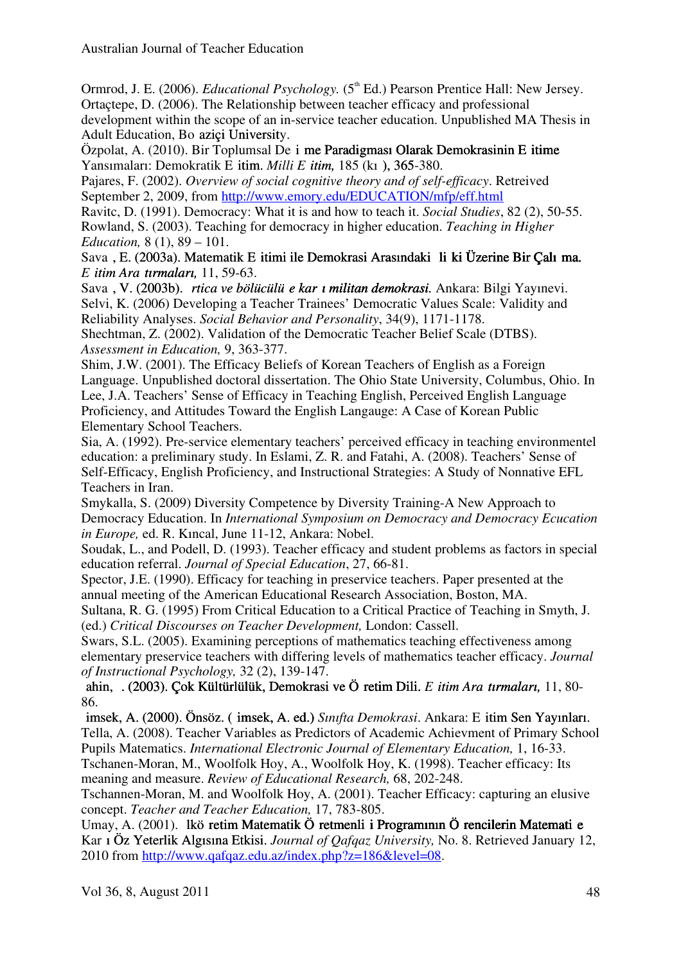Ormrod, J. E. (2006). *Educational Psychology.* (5<sup>th</sup> Ed.) Pearson Prentice Hall: New Jersey. Ortaçtepe, D. (2006). The Relationship between teacher efficacy and professional development within the scope of an in-service teacher education. Unpublished MA Thesis in Adult Education, Bo azici University.

Özpolat, A. (2010). Bir Toplumsal De i me Paradigması Olarak Demokrasinin E itime Yansımaları: Demokratik E itim. *Milli E itim*, 185 (k<sub>1</sub>), 365-380.

Pajares, F. (2002). *Overview of social cognitive theory and of self-efficacy*. Retreived September 2, 2009, from http://www.emory.edu/EDUCATION/mfp/eff.html

Ravitc, D. (1991). Democracy: What it is and how to teach it. *Social Studies*, 82 (2), 50-55. Rowland, S. (2003). Teaching for democracy in higher education. *Teaching in Higher Education,* 8 (1), 89 – 101.

Sava, E. (2003a). Matematik Eg itimi ile Demokrasi Arasındaki I liş ki Üzerine Bir Çalı ma. *Eğ itim Araș tırmaları, itim Araș tırmaları,* 11, 59-63.

Sava, V. (2003b). *rtica ve bölücülü e kar ı militan demokrasi*. Ankara: Bilgi Yayınevi. Selvi, K. (2006) Developing a Teacher Trainees' Democratic Values Scale: Validity and Reliability Analyses. *Social Behavior and Personality*, 34(9), 1171-1178. Shechtman, Z. (2002). Validation of the Democratic Teacher Belief Scale (DTBS).

*Assessment in Education,* 9, 363-377.

Shim, J.W. (2001). The Efficacy Beliefs of Korean Teachers of English as a Foreign Language. Unpublished doctoral dissertation. The Ohio State University, Columbus, Ohio. In Lee, J.A. Teachers' Sense of Efficacy in Teaching English, Perceived English Language Proficiency, and Attitudes Toward the English Langauge: A Case of Korean Public Elementary School Teachers.

Sia, A. (1992). Pre-service elementary teachers' perceived efficacy in teaching environmentel education: a preliminary study. In Eslami, Z. R. and Fatahi, A. (2008). Teachers' Sense of Self-Efficacy, English Proficiency, and Instructional Strategies: A Study of Nonnative EFL Teachers in Iran.

Smykalla, S. (2009) Diversity Competence by Diversity Training-A New Approach to Democracy Education. In *International Symposium on Democracy and Democracy Ecucation in Europe,* ed. R. Kıncal, June 11-12, Ankara: Nobel.

Soudak, L., and Podell, D. (1993). Teacher efficacy and student problems as factors in special education referral. *Journal of Special Education*, 27, 66-81.

Spector, J.E. (1990). Efficacy for teaching in preservice teachers. Paper presented at the annual meeting of the American Educational Research Association, Boston, MA.

Sultana, R. G. (1995) From Critical Education to a Critical Practice of Teaching in Smyth, J. (ed.) *Critical Discourses on Teacher Development,* London: Cassell.

Swars, S.L. (2005). Examining perceptions of mathematics teaching effectiveness among elementary preservice teachers with differing levels of mathematics teacher efficacy. *Journal of Instructional Psychology,* 32 (2), 139-147.

Ș ahin, İ . (2003). Çok Kültürlülük, Demokrasi ve Öğ retim Dili. ahin, . (2003). Çok Kültürlülük, Demokrasi ve Öğ retim Dili. *Eğ itim Araș tırmaları, itim Araș tırmaları,* 11, 80- 86.

Ș imsek, A. (2000). Önsöz. (Ș imsek, A. ed.) imsek, A. (2000). Önsöz. (Ș imsek, A. ed.) *Sınıfta Demokrasi*. Ankara: Eğ itim Sen Yayınları. itim Sen Yayınları. Tella, A. (2008). Teacher Variables as Predictors of Academic Achievment of Primary School Pupils Matematics. *International Electronic Journal of Elementary Education,* 1, 16-33.

Tschanen-Moran, M., Woolfolk Hoy, A., Woolfolk Hoy, K. (1998). Teacher efficacy: Its meaning and measure. *Review of Educational Research,* 68, 202-248.

Tschannen-Moran, M. and Woolfolk Hoy, A. (2001). Teacher Efficacy: capturing an elusive concept. *Teacher and Teacher Education,* 17, 783-805.

Umay, A. (2001). Ikö retim Matematik Ö retmenli i Programının Ö rencilerin Matemati e Kar 1 Öz Yeterlik Algısına Etkisi. *Journal of Qafqaz University*, No. 8. Retrieved January 12, 2010 from http://www.qafqaz.edu.az/index.php?z=186&level=08.